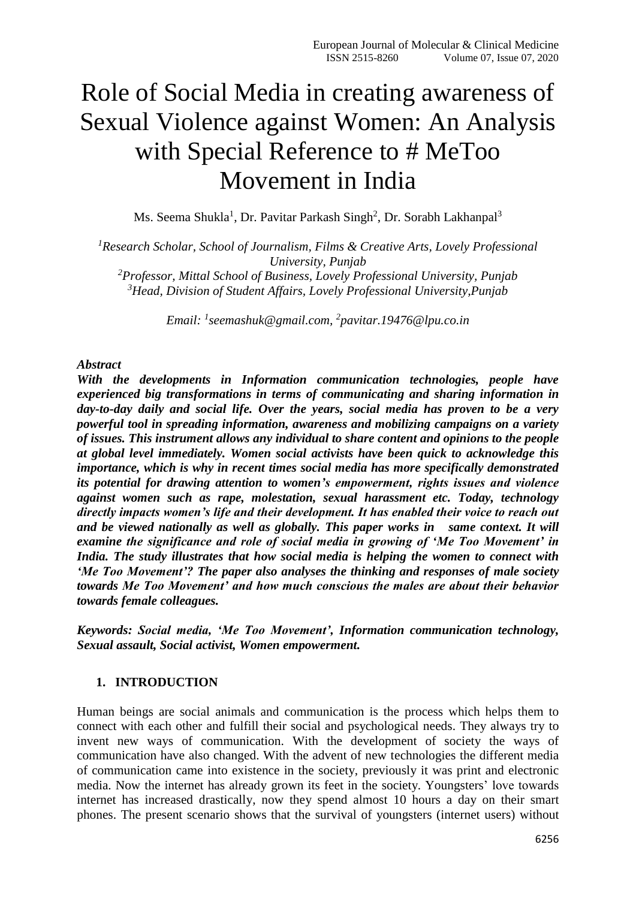# Role of Social Media in creating awareness of Sexual Violence against Women: An Analysis with Special Reference to # MeToo Movement in India

Ms. Seema Shukla<sup>1</sup>, Dr. Pavitar Parkash Singh<sup>2</sup>, Dr. Sorabh Lakhanpal<sup>3</sup>

*Research Scholar, School of Journalism, Films & Creative Arts, Lovely Professional University, Punjab Professor, Mittal School of Business, Lovely Professional University, Punjab Head, Division of Student Affairs, Lovely Professional University,Punjab*

*Email: <sup>1</sup> [seemashuk@gmail.com,](mailto:1seemashuk@gmail.com) 2 [pavitar.19476@lpu.co.in](mailto:pavitar.19476@lpu.co.in)*

#### *Abstract*

*With the developments in Information communication technologies, people have experienced big transformations in terms of communicating and sharing information in day-to-day daily and social life. Over the years, social media has proven to be a very powerful tool in spreading information, awareness and mobilizing campaigns on a variety of issues. This instrument allows any individual to share content and opinions to the people at global level immediately. Women social activists have been quick to acknowledge this importance, which is why in recent times social media has more specifically demonstrated its potential for drawing attention to women's empowerment, rights issues and violence against women such as rape, molestation, sexual harassment etc. Today, technology directly impacts women's life and their development. It has enabled their voice to reach out and be viewed nationally as well as globally. This paper works in same context. It will examine the significance and role of social media in growing of 'Me Too Movement' in India. The study illustrates that how social media is helping the women to connect with 'Me Too Movement'? The paper also analyses the thinking and responses of male society towards Me Too Movement' and how much conscious the males are about their behavior towards female colleagues.* 

*Keywords: Social media, 'Me Too Movement', Information communication technology, Sexual assault, Social activist, Women empowerment.*

## **1. INTRODUCTION**

Human beings are social animals and communication is the process which helps them to connect with each other and fulfill their social and psychological needs. They always try to invent new ways of communication. With the development of society the ways of communication have also changed. With the advent of new technologies the different media of communication came into existence in the society, previously it was print and electronic media. Now the internet has already grown its feet in the society. Youngsters' love towards internet has increased drastically, now they spend almost 10 hours a day on their smart phones. The present scenario shows that the survival of youngsters (internet users) without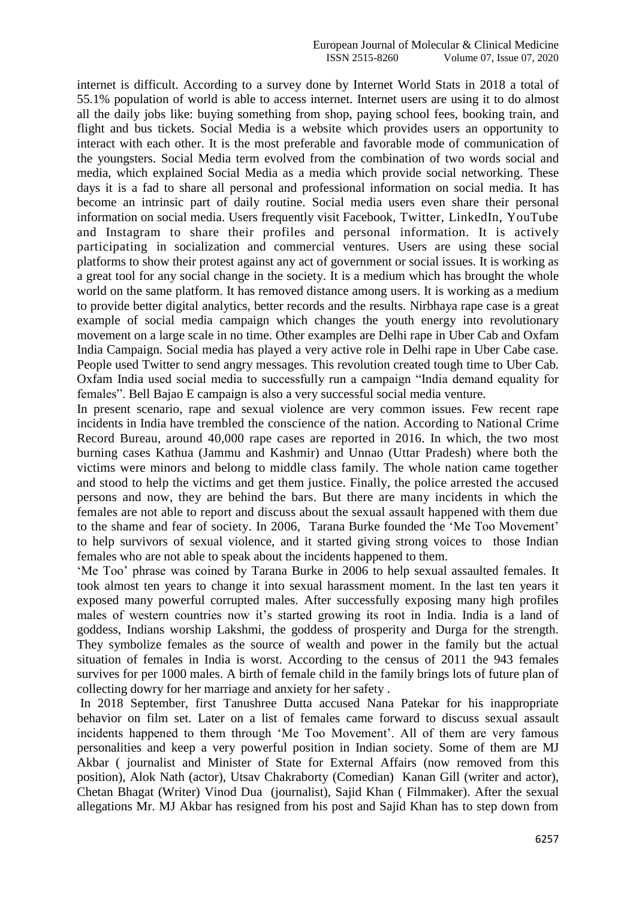internet is difficult. According to a survey done by Internet World Stats in 2018 a total of 55.1% population of world is able to access internet. Internet users are using it to do almost all the daily jobs like: buying something from shop, paying school fees, booking train, and flight and bus tickets. Social Media is a website which provides users an opportunity to interact with each other. It is the most preferable and favorable mode of communication of the youngsters. Social Media term evolved from the combination of two words social and media, which explained Social Media as a media which provide social networking. These days it is a fad to share all personal and professional information on social media. It has become an intrinsic part of daily routine. Social media users even share their personal information on social media. Users frequently visit Facebook, Twitter, LinkedIn, YouTube and Instagram to share their profiles and personal information. It is actively participating in socialization and commercial ventures. Users are using these social platforms to show their protest against any act of government or social issues. It is working as a great tool for any social change in the society. It is a medium which has brought the whole world on the same platform. It has removed distance among users. It is working as a medium to provide better digital analytics, better records and the results. Nirbhaya rape case is a great example of social media campaign which changes the youth energy into revolutionary movement on a large scale in no time. Other examples are Delhi rape in Uber Cab and Oxfam India Campaign. Social media has played a very active role in Delhi rape in Uber Cabe case. People used Twitter to send angry messages. This revolution created tough time to Uber Cab. Oxfam India used social media to successfully run a campaign "India demand equality for females". Bell Bajao E campaign is also a very successful social media venture.

In present scenario, rape and sexual violence are very common issues. Few recent rape incidents in India have trembled the conscience of the nation. According to National Crime Record Bureau, around 40,000 rape cases are reported in 2016. In which, the two most burning cases Kathua (Jammu and Kashmir) and Unnao (Uttar Pradesh) where both the victims were minors and belong to middle class family. The whole nation came together and stood to help the victims and get them justice. Finally, the police arrested the accused persons and now, they are behind the bars. But there are many incidents in which the females are not able to report and discuss about the sexual assault happened with them due to the shame and fear of society. In 2006, Tarana Burke founded the 'Me Too Movement' to help survivors of sexual violence, and it started giving strong voices to those Indian females who are not able to speak about the incidents happened to them.

'Me Too' phrase was coined by Tarana Burke in 2006 to help sexual assaulted females. It took almost ten years to change it into sexual harassment moment. In the last ten years it exposed many powerful corrupted males. After successfully exposing many high profiles males of western countries now it's started growing its root in India. India is a land of goddess, Indians worship Lakshmi*,* the goddess of prosperity and Durga for the strength. They symbolize females as the source of wealth and power in the family but the actual situation of females in India is worst. According to the census of 2011 the 943 females survives for per 1000 males. A birth of female child in the family brings lots of future plan of collecting dowry for her marriage and anxiety for her safety .

In 2018 September, first Tanushree Dutta accused Nana Patekar for his inappropriate behavior on film set. Later on a list of females came forward to discuss sexual assault incidents happened to them through 'Me Too Movement'. All of them are very famous personalities and keep a very powerful position in Indian society. Some of them are MJ Akbar ( journalist and Minister of State for External Affairs (now removed from this position), Alok Nath (actor), Utsav Chakraborty (Comedian) Kanan Gill (writer and actor), Chetan Bhagat (Writer) Vinod Dua (journalist), Sajid Khan ( Filmmaker). After the sexual allegations Mr. MJ Akbar has resigned from his post and Sajid Khan has to step down from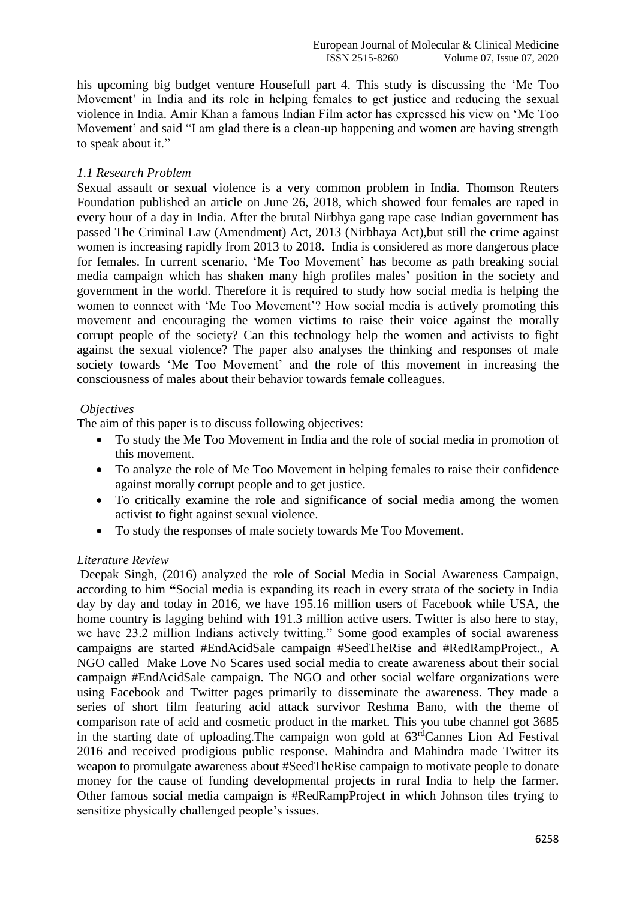his upcoming big budget venture Housefull part 4. This study is discussing the 'Me Too Movement' in India and its role in helping females to get justice and reducing the sexual violence in India. Amir Khan a famous Indian Film actor has expressed his view on 'Me Too Movement' and said "I am glad there is a clean-up happening and women are having strength to speak about it."

## *1.1 Research Problem*

Sexual assault or sexual violence is a very common problem in India. Thomson Reuters Foundation published an article on June 26, 2018, which showed four females are raped in every hour of a day in India. After the brutal Nirbhya gang rape case Indian government has passed The Criminal Law (Amendment) Act, 2013 (Nirbhaya Act),but still the crime against women is increasing rapidly from 2013 to 2018. India is considered as more dangerous place for females. In current scenario, 'Me Too Movement' has become as path breaking social media campaign which has shaken many high profiles males' position in the society and government in the world. Therefore it is required to study how social media is helping the women to connect with 'Me Too Movement'? How social media is actively promoting this movement and encouraging the women victims to raise their voice against the morally corrupt people of the society? Can this technology help the women and activists to fight against the sexual violence? The paper also analyses the thinking and responses of male society towards 'Me Too Movement' and the role of this movement in increasing the consciousness of males about their behavior towards female colleagues.

### *Objectives*

The aim of this paper is to discuss following objectives:

- To study the Me Too Movement in India and the role of social media in promotion of this movement.
- To analyze the role of Me Too Movement in helping females to raise their confidence against morally corrupt people and to get justice.
- To critically examine the role and significance of social media among the women activist to fight against sexual violence.
- To study the responses of male society towards Me Too Movement.

# *Literature Review*

Deepak Singh, (2016) analyzed the role of Social Media in Social Awareness Campaign, according to him **"**Social media is expanding its reach in every strata of the society in India day by day and today in 2016, we have 195.16 million users of Facebook while USA, the home country is lagging behind with 191.3 million active users. Twitter is also here to stay, we have 23.2 million Indians actively twitting." Some good examples of social awareness campaigns are started #EndAcidSale campaign #SeedTheRise and #RedRampProject., A NGO called Make Love No Scares used social media to create awareness about their social campaign #EndAcidSale campaign. The NGO and other social welfare organizations were using Facebook and Twitter pages primarily to disseminate the awareness. They made a series of short film featuring acid attack survivor Reshma Bano, with the theme of comparison rate of acid and cosmetic product in the market. This you tube channel got 3685 in the starting date of uploading.The campaign won gold at 63rdCannes Lion Ad Festival 2016 and received prodigious public response. Mahindra and Mahindra made Twitter its weapon to promulgate awareness about #SeedTheRise campaign to motivate people to donate money for the cause of funding developmental projects in rural India to help the farmer. Other famous social media campaign is #RedRampProject in which Johnson tiles trying to sensitize physically challenged people's issues.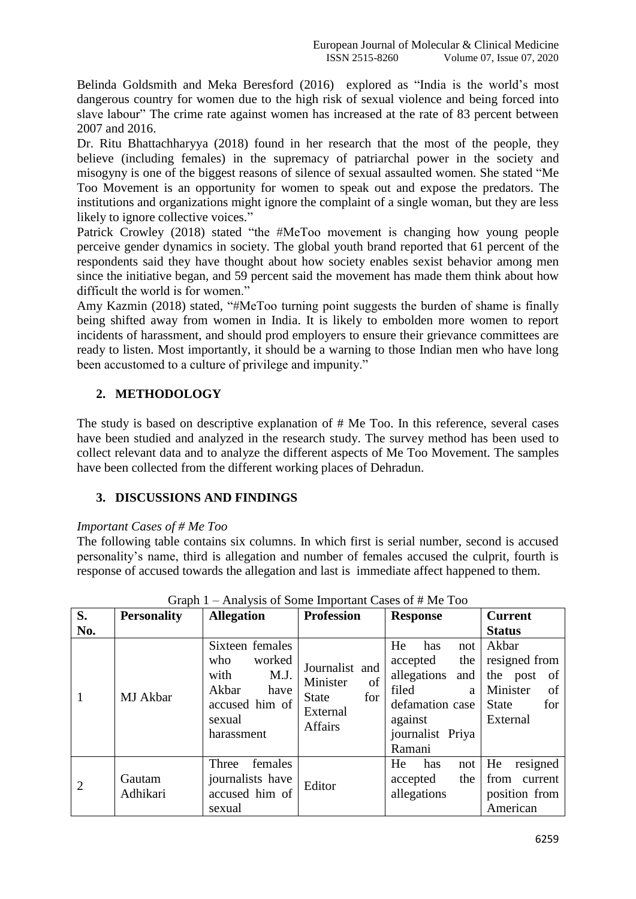Belinda Goldsmith and Meka Beresford (2016) explored as "India is the world's most dangerous country for women due to the high risk of sexual violence and being forced into slave labour" The crime rate against women has increased at the rate of 83 percent between 2007 and 2016.

Dr. Ritu Bhattachharyya (2018) found in her research that the most of the people, they believe (including females) in the supremacy of patriarchal power in the society and misogyny is one of the biggest reasons of silence of sexual assaulted women. She stated "Me Too Movement is an opportunity for women to speak out and expose the predators. The institutions and organizations might ignore the complaint of a single woman, but they are less likely to ignore collective voices."

Patrick Crowley (2018) stated "the #MeToo movement is changing how young people perceive gender dynamics in society. The global youth brand reported that 61 percent of the respondents said they have thought about how society enables sexist behavior among men since the initiative began, and 59 percent said the movement has made them think about how difficult the world is for women."

Amy Kazmin (2018) stated, "#MeToo turning point suggests the burden of shame is finally being shifted away from women in India. It is likely to embolden more women to report incidents of harassment, and should prod employers to ensure their grievance committees are ready to listen. Most importantly, it should be a warning to those Indian men who have long been accustomed to a culture of privilege and impunity."

# **2. METHODOLOGY**

The study is based on descriptive explanation of # Me Too. In this reference, several cases have been studied and analyzed in the research study. The survey method has been used to collect relevant data and to analyze the different aspects of Me Too Movement. The samples have been collected from the different working places of Dehradun.

# **3. DISCUSSIONS AND FINDINGS**

# *Important Cases of # Me Too*

The following table contains six columns. In which first is serial number, second is accused personality's name, third is allegation and number of females accused the culprit, fourth is response of accused towards the allegation and last is immediate affect happened to them.

| S.             | <b>Personality</b> | <b>Allegation</b>                                                                                           | <b>Profession</b>                                                                     | <b>Response</b>                                                                                                                     | <b>Current</b>                                                                                |
|----------------|--------------------|-------------------------------------------------------------------------------------------------------------|---------------------------------------------------------------------------------------|-------------------------------------------------------------------------------------------------------------------------------------|-----------------------------------------------------------------------------------------------|
| No.            |                    |                                                                                                             |                                                                                       |                                                                                                                                     | <b>Status</b>                                                                                 |
| 1              | MJ Akbar           | Sixteen females<br>who<br>worked<br>with<br>M.J.<br>Akbar<br>have<br>accused him of<br>sexual<br>harassment | Journalist and<br>Minister<br>of<br><b>State</b><br>for<br>External<br><b>Affairs</b> | He<br>has<br>not<br>the<br>accepted<br>allegations<br>and<br>filed<br>a<br>defamation case<br>against<br>journalist Priya<br>Ramani | Akbar<br>resigned from<br>the post<br>of<br>Minister<br>of<br>for<br><b>State</b><br>External |
| $\overline{2}$ | Gautam<br>Adhikari | females<br>Three<br>journalists have<br>accused him of<br>sexual                                            | Editor                                                                                | He<br>has<br>not<br>the<br>accepted<br>allegations                                                                                  | resigned<br>He<br>from<br>current<br>position from<br>American                                |

Graph 1 – Analysis of Some Important Cases of # Me Too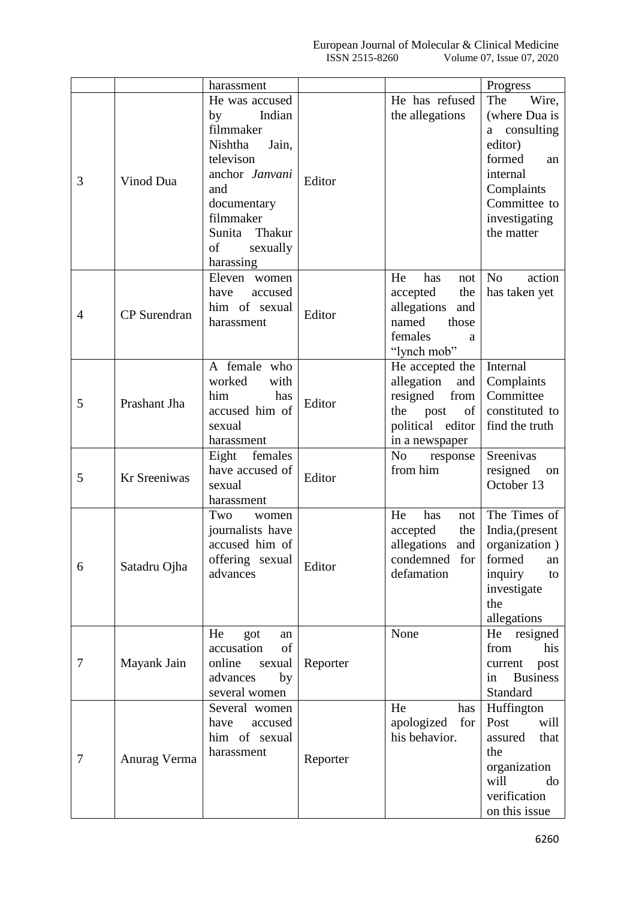|                |                     | harassment                  |          |                            | Progress                 |
|----------------|---------------------|-----------------------------|----------|----------------------------|--------------------------|
|                |                     | He was accused              |          | He has refused             | The<br>Wire,             |
|                | Vinod Dua           | Indian<br>by                |          | the allegations            | (where Dua is            |
|                |                     | filmmaker                   |          |                            | consulting<br>a          |
|                |                     | Nishtha<br>Jain,            |          |                            | editor)                  |
|                |                     | televison                   |          |                            | formed<br>an             |
| 3              |                     | anchor Janvani              |          |                            | internal                 |
|                |                     | and                         | Editor   |                            | Complaints               |
|                |                     | documentary                 |          |                            | Committee to             |
|                |                     | filmmaker                   |          |                            | investigating            |
|                |                     | Thakur<br>Sunita            |          |                            | the matter               |
|                |                     | of<br>sexually              |          |                            |                          |
|                |                     | harassing                   |          |                            |                          |
|                |                     | Eleven women                |          | He<br>has<br>not           | N <sub>o</sub><br>action |
|                | <b>CP</b> Surendran | have<br>accused             |          | accepted<br>the            | has taken yet            |
|                |                     | him of sexual               |          | allegations<br>and         |                          |
| $\overline{4}$ |                     | harassment                  | Editor   | named<br>those             |                          |
|                |                     |                             |          | females<br>a               |                          |
|                |                     |                             |          | "lynch mob"                |                          |
|                |                     | A female who                |          | He accepted the            | Internal                 |
|                |                     | worked<br>with              |          | allegation<br>and          | Complaints               |
|                |                     | him<br>has                  |          | resigned<br>from           | Committee                |
| 5              | Prashant Jha        | accused him of              | Editor   | of<br>the<br>post          | constituted to           |
|                |                     | sexual                      |          | political editor           | find the truth           |
|                |                     | harassment                  |          | in a newspaper             |                          |
|                |                     | Eight females               |          | N <sub>0</sub><br>response | Sreenivas                |
|                | Kr Sreeniwas        | have accused of             |          | from him                   | resigned<br>on           |
| 5              |                     | sexual                      | Editor   |                            | October 13               |
|                |                     | harassment                  |          |                            |                          |
|                |                     | Two<br>women                |          | He<br>has<br>not           | The Times of             |
|                | Satadru Ojha        | journalists have            |          | accepted<br>the            | India, (present          |
| 6              |                     | accused him of              | Editor   | allegations<br>and         | organization)            |
|                |                     | offering sexual<br>advances |          | condemned<br>for           | formed<br>an             |
|                |                     |                             |          | defamation                 | inquiry<br>to            |
|                |                     |                             |          |                            | investigate              |
|                |                     |                             |          |                            | the                      |
|                |                     |                             |          |                            | allegations              |
|                | Mayank Jain         | He<br>got<br>an             |          | None                       | He<br>resigned           |
|                |                     | accusation<br>of            |          |                            | from<br>his              |
| 7              |                     | online<br>sexual            | Reporter |                            | current<br>post          |
|                |                     | advances<br>by              |          |                            | <b>Business</b><br>in    |
|                |                     | several women               |          |                            | Standard                 |
| 7              | Anurag Verma        | Several women               |          | He<br>has                  | Huffington               |
|                |                     | accused<br>have             |          | apologized<br>for          | Post<br>will             |
|                |                     | him of sexual<br>harassment | Reporter | his behavior.              | that<br>assured          |
|                |                     |                             |          |                            | the                      |
|                |                     |                             |          |                            | organization             |
|                |                     |                             |          |                            | will<br>do               |
|                |                     |                             |          |                            | verification             |
|                |                     |                             |          |                            | on this issue            |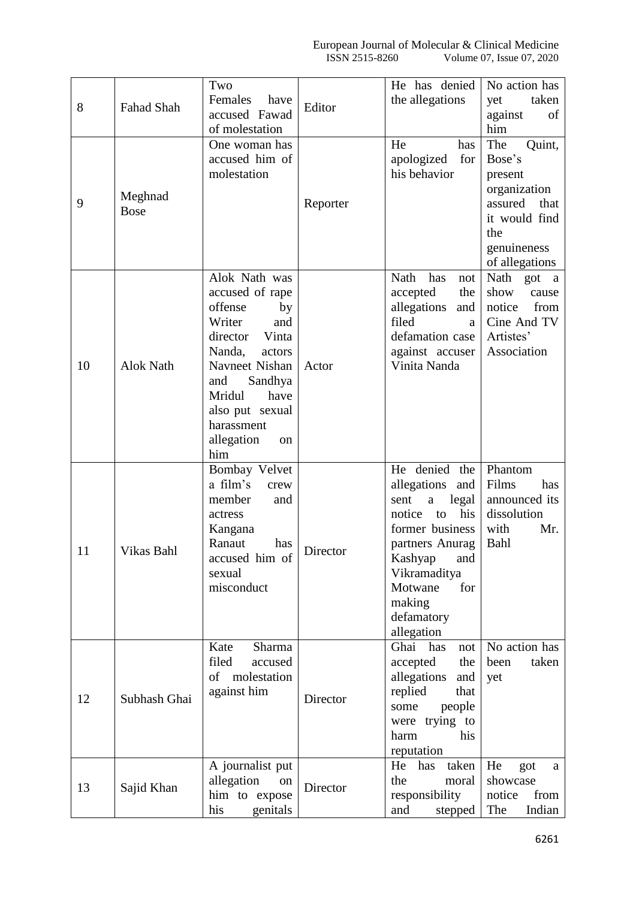|    |                        | Two                                    |          | He has denied                         | No action has                 |
|----|------------------------|----------------------------------------|----------|---------------------------------------|-------------------------------|
| 8  | Fahad Shah             | Females<br>have                        | Editor   | the allegations                       | taken<br>yet                  |
|    |                        | accused Fawad                          |          |                                       | against<br>of                 |
|    |                        | of molestation                         |          |                                       | him                           |
|    |                        | One woman has<br>accused him of        |          | He<br>has<br>for<br>apologized        | The<br>Quint,<br>Bose's       |
|    |                        | molestation                            |          | his behavior                          | present                       |
|    |                        |                                        |          |                                       | organization                  |
| 9  | Meghnad<br><b>Bose</b> |                                        | Reporter |                                       | that<br>assured               |
|    |                        |                                        |          |                                       | it would find                 |
|    |                        |                                        |          |                                       | the                           |
|    |                        |                                        |          |                                       | genuineness                   |
|    |                        |                                        |          |                                       | of allegations                |
|    |                        | Alok Nath was                          |          | Nath<br>has<br>not                    | Nath got a<br>show            |
|    |                        | accused of rape<br>offense<br>by       |          | accepted<br>the<br>allegations<br>and | cause<br>notice<br>from       |
|    |                        | Writer<br>and                          |          | filed<br>a                            | Cine And TV                   |
|    |                        | director<br>Vinta                      |          | defamation case                       | Artistes'                     |
|    |                        | Nanda,<br>actors                       |          | against accuser                       | Association                   |
| 10 | Alok Nath              | Navneet Nishan                         | Actor    | Vinita Nanda                          |                               |
|    |                        | Sandhya<br>and                         |          |                                       |                               |
|    |                        | Mridul<br>have                         |          |                                       |                               |
|    |                        | also put sexual                        |          |                                       |                               |
|    |                        | harassment                             |          |                                       |                               |
|    |                        | allegation<br>on                       |          |                                       |                               |
|    |                        | him                                    |          |                                       |                               |
|    |                        | Bombay Velvet<br>a film's              |          | He denied the                         | Phantom                       |
|    | Vikas Bahl             | crew<br>member                         |          | allegations and<br>sent               | Films<br>has<br>announced its |
|    |                        | and<br>actress                         |          | legal<br>a<br>his<br>notice<br>to     | dissolution                   |
|    |                        | Kangana                                |          | former business                       | with<br>Mr.                   |
|    |                        | Ranaut<br>has                          |          | partners Anurag                       | Bahl                          |
| 11 |                        | accused him of<br>sexual<br>misconduct | Director | Kashyap<br>and                        |                               |
|    |                        |                                        |          | Vikramaditya                          |                               |
|    |                        |                                        |          | Motwane<br>for                        |                               |
|    |                        |                                        |          | making                                |                               |
|    |                        |                                        |          | defamatory                            |                               |
|    |                        |                                        |          | allegation                            |                               |
| 12 | Subhash Ghai           | Kate<br>Sharma<br>filed<br>accused     |          | Ghai<br>has<br>not                    | No action has                 |
|    |                        | of molestation                         |          | accepted<br>the                       | taken<br>been                 |
|    |                        | against him                            | Director | allegations<br>and<br>replied<br>that | yet                           |
|    |                        |                                        |          | people<br>some                        |                               |
|    |                        |                                        |          | were trying to                        |                               |
|    |                        |                                        |          | his<br>harm                           |                               |
|    |                        |                                        |          | reputation                            |                               |
|    |                        | A journalist put                       |          | taken<br>He<br>has                    | He<br>got<br>a                |
| 13 | Sajid Khan             | allegation<br>on                       | Director | the<br>moral                          | showcase                      |
|    |                        | him to expose                          |          | responsibility                        | notice<br>from                |
|    |                        | his<br>genitals                        |          | and<br>stepped                        | The<br>Indian                 |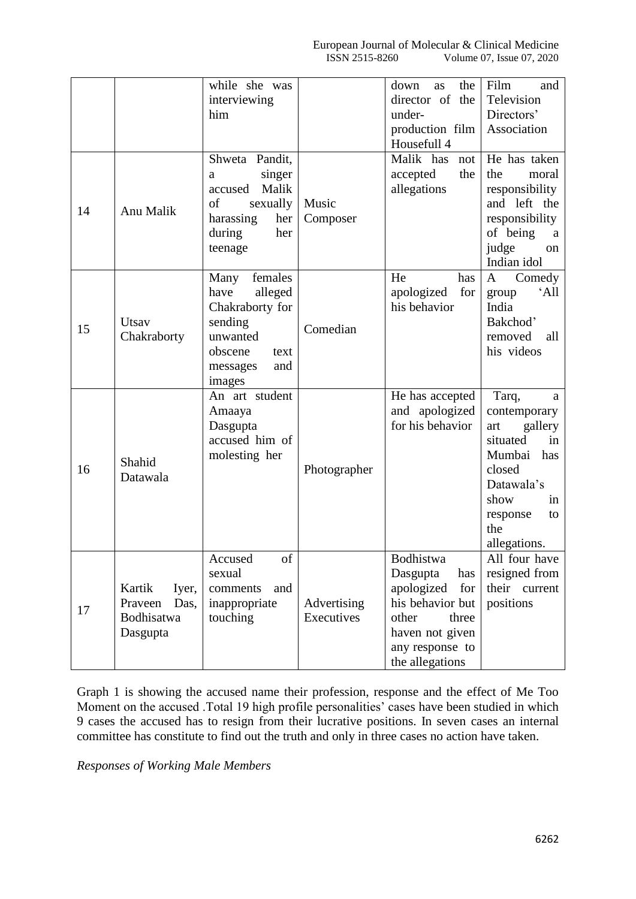|    |                                                              | while she was<br>interviewing<br>him                                                                                         |                           | down<br>the<br>as<br>director of the<br>under-<br>production film<br>Housefull 4                                                                 | Film<br>and<br>Television<br>Directors'<br>Association                                                                                                         |
|----|--------------------------------------------------------------|------------------------------------------------------------------------------------------------------------------------------|---------------------------|--------------------------------------------------------------------------------------------------------------------------------------------------|----------------------------------------------------------------------------------------------------------------------------------------------------------------|
| 14 | Anu Malik                                                    | Shweta Pandit,<br>singer<br>a<br>Malik<br>accused<br>of<br>sexually<br>harassing<br>her<br>during<br>her<br>teenage          | Music<br>Composer         | Malik has<br>not<br>accepted<br>the<br>allegations                                                                                               | He has taken<br>the<br>moral<br>responsibility<br>and left the<br>responsibility<br>of being<br>a<br>judge<br>on<br>Indian idol                                |
| 15 | Utsav<br>Chakraborty                                         | females<br>Many<br>alleged<br>have<br>Chakraborty for<br>sending<br>unwanted<br>obscene<br>text<br>and<br>messages<br>images | Comedian                  | He<br>has<br>for<br>apologized<br>his behavior                                                                                                   | $\mathbf{A}$<br>Comedy<br>$^{\circ}$ All<br>group<br>India<br>Bakchod'<br>removed<br>all<br>his videos                                                         |
| 16 | Shahid<br>Datawala                                           | An art student<br>Amaaya<br>Dasgupta<br>accused him of<br>molesting her                                                      | Photographer              | He has accepted<br>and apologized<br>for his behavior                                                                                            | Tarq,<br>a<br>contemporary<br>gallery<br>art<br>situated<br>in<br>Mumbai<br>has<br>closed<br>Datawala's<br>show<br>in<br>response<br>to<br>the<br>allegations. |
| 17 | Kartik<br>Iyer,<br>Praveen<br>Das,<br>Bodhisatwa<br>Dasgupta | Accused<br>οf<br>sexual<br>comments<br>and<br>inappropriate<br>touching                                                      | Advertising<br>Executives | Bodhistwa<br>Dasgupta<br>has<br>apologized<br>for<br>his behavior but<br>other<br>three<br>haven not given<br>any response to<br>the allegations | All four have<br>resigned from<br>their current<br>positions                                                                                                   |

Graph 1 is showing the accused name their profession, response and the effect of Me Too Moment on the accused .Total 19 high profile personalities' cases have been studied in which 9 cases the accused has to resign from their lucrative positions. In seven cases an internal committee has constitute to find out the truth and only in three cases no action have taken.

*Responses of Working Male Members*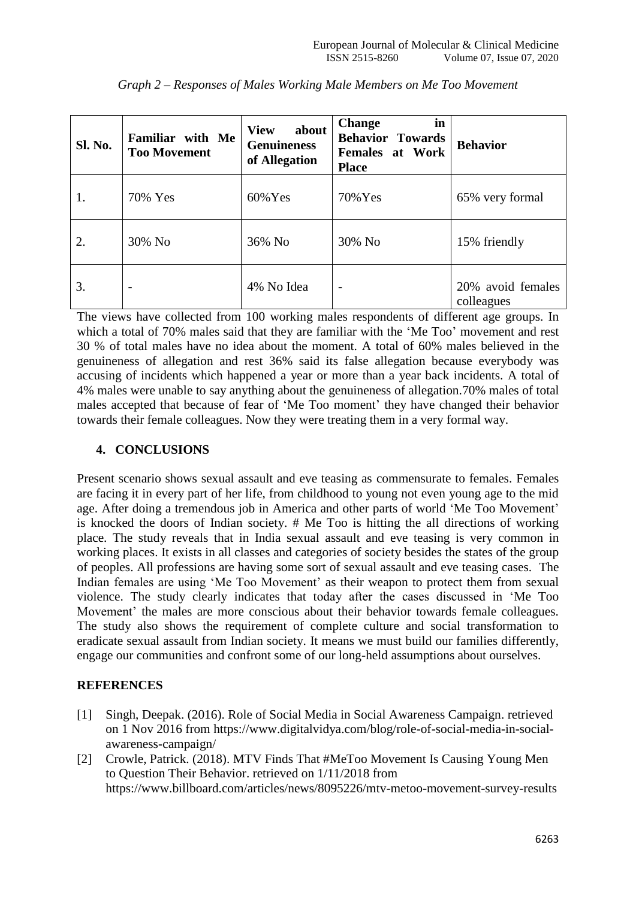| Sl. No. | Familiar with Me<br><b>Too Movement</b> | about<br><b>View</b><br><b>Genuineness</b><br>of Allegation | <b>Change</b><br>in<br><b>Behavior Towards</b><br><b>Females at Work</b><br><b>Place</b> | <b>Behavior</b>                 |
|---------|-----------------------------------------|-------------------------------------------------------------|------------------------------------------------------------------------------------------|---------------------------------|
| 1.      | 70% Yes                                 | $60\%$ Yes                                                  | 70% Yes                                                                                  | 65% very formal                 |
| 2.      | 30% No                                  | 36% No                                                      | 30% No                                                                                   | 15% friendly                    |
| 3.      | $\overline{\phantom{0}}$                | 4% No Idea                                                  | $\overline{\phantom{a}}$                                                                 | 20% avoid females<br>colleagues |

*Graph 2 – Responses of Males Working Male Members on Me Too Movement*

The views have collected from 100 working males respondents of different age groups. In which a total of 70% males said that they are familiar with the 'Me Too' movement and rest 30 % of total males have no idea about the moment. A total of 60% males believed in the genuineness of allegation and rest 36% said its false allegation because everybody was accusing of incidents which happened a year or more than a year back incidents. A total of 4% males were unable to say anything about the genuineness of allegation.70% males of total males accepted that because of fear of 'Me Too moment' they have changed their behavior towards their female colleagues. Now they were treating them in a very formal way.

## **4. CONCLUSIONS**

Present scenario shows sexual assault and eve teasing as commensurate to females. Females are facing it in every part of her life, from childhood to young not even young age to the mid age. After doing a tremendous job in America and other parts of world 'Me Too Movement' is knocked the doors of Indian society. # Me Too is hitting the all directions of working place. The study reveals that in India sexual assault and eve teasing is very common in working places. It exists in all classes and categories of society besides the states of the group of peoples. All professions are having some sort of sexual assault and eve teasing cases. The Indian females are using 'Me Too Movement' as their weapon to protect them from sexual violence. The study clearly indicates that today after the cases discussed in 'Me Too Movement' the males are more conscious about their behavior towards female colleagues. The study also shows the requirement of complete culture and social transformation to eradicate sexual assault from Indian society. It means we must build our families differently, engage our communities and confront some of our long-held assumptions about ourselves.

# **REFERENCES**

- [1] Singh, Deepak. (2016). Role of Social Media in Social Awareness Campaign. retrieved on 1 Nov 2016 from [https://www.digitalvidya.com/blog/role-of-social-media-in-social](https://www.digitalvidya.com/blog/role-of-social-media-in-social-awareness-campaign/)[awareness-campaign/](https://www.digitalvidya.com/blog/role-of-social-media-in-social-awareness-campaign/)
- [2] Crowle, Patrick. (2018). MTV Finds That #MeToo Movement Is Causing Young Men to Question Their Behavior. retrieved on 1/11/2018 from <https://www.billboard.com/articles/news/8095226/mtv-metoo-movement-survey-results>